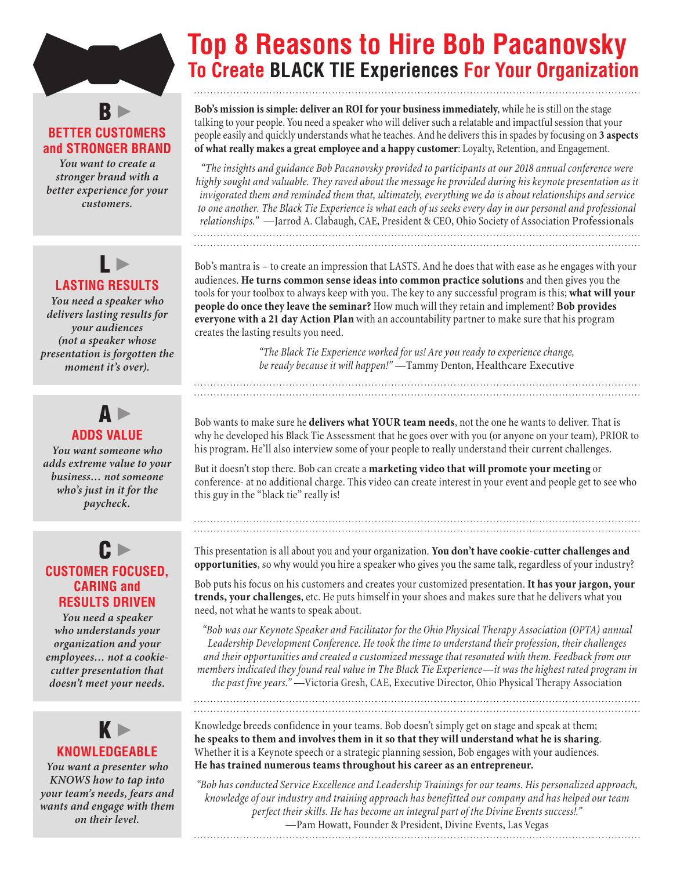# $B$ **BETTER CUSTOMERS and STRONGER BRAND**

*You want to create a stronger brand with a better experience for your customers.*

# L **LASTING RESULTS**

*You need a speaker who delivers lasting results for your audiences (not a speaker whose presentation is forgotten the moment it's over).*

# A **ADDS VALUE**

*You want someone who adds extreme value to your business… not someone who's just in it for the paycheck.*

## C **CUSTOMER FOCUSED, CARING and RESULTS DRIVEN**

*You need a speaker who understands your organization and your employees… not a cookiecutter presentation that doesn't meet your needs.*



*You want a presenter who KNOWS how to tap into your team's needs, fears and wants and engage with them on their level.*

# **Top 8 Reasons to Hire Bob Pacanovsky To Create BLACK TIE Experiences For Your Organization**

**Bob's mission is simple: deliver an ROI for your business immediately**, while he is still on the stage talking to your people. You need a speaker who will deliver such a relatable and impactful session that your people easily and quickly understands what he teaches. And he delivers this in spades by focusing on **3 aspects of what really makes a great employee and a happy customer**: Loyalty, Retention, and Engagement.

*"The insights and guidance Bob Pacanovsky provided to participants at our 2018 annual conference were highly sought and valuable. They raved about the message he provided during his keynote presentation as it invigorated them and reminded them that, ultimately, everything we do is about relationships and service to one another. The Black Tie Experience is what each of us seeks every day in our personal and professional relationships."* —Jarrod A. Clabaugh, CAE, President & CEO, Ohio Society of Association Professionals 

Bob's mantra is – to create an impression that LASTS. And he does that with ease as he engages with your audiences. **He turns common sense ideas into common practice solutions** and then gives you the tools for your toolbox to always keep with you. The key to any successful program is this; **what will your people do once they leave the seminar?** How much will they retain and implement? **Bob provides everyone with a 21 day Action Plan** with an accountability partner to make sure that his program creates the lasting results you need.

> *"The Black Tie Experience worked for us! Are you ready to experience change, be ready because it will happen!"* —Tammy Denton, Healthcare Executive

Bob wants to make sure he **delivers what YOUR team needs**, not the one he wants to deliver. That is why he developed his Black Tie Assessment that he goes over with you (or anyone on your team), PRIOR to his program. He'll also interview some of your people to really understand their current challenges.

But it doesn't stop there. Bob can create a **marketing video that will promote your meeting** or conference- at no additional charge. This video can create interest in your event and people get to see who this guy in the "black tie" really is!

#### This presentation is all about you and your organization. **You don't have cookie-cutter challenges and opportunities**, so why would you hire a speaker who gives you the same talk, regardless of your industry?

Bob puts his focus on his customers and creates your customized presentation. **It has your jargon, your trends, your challenges**, etc. He puts himself in your shoes and makes sure that he delivers what you need, not what he wants to speak about.

*"Bob was our Keynote Speaker and Facilitator for the Ohio Physical Therapy Association (OPTA) annual Leadership Development Conference. He took the time to understand their profession, their challenges and their opportunities and created a customized message that resonated with them. Feedback from our members indicated they found real value in The Black Tie Experience—it was the highest rated program in the past five years."* —Victoria Gresh, CAE, Executive Director, Ohio Physical Therapy Association

Knowledge breeds confidence in your teams. Bob doesn't simply get on stage and speak at them; **he speaks to them and involves them in it so that they will understand what he is sharing**. Whether it is a Keynote speech or a strategic planning session, Bob engages with your audiences. **He has trained numerous teams throughout his career as an entrepreneur.**

*"Bob has conducted Service Excellence and Leadership Trainings for our teams. His personalized approach, knowledge of our industry and training approach has benefitted our company and has helped our team perfect their skills. He has become an integral part of the Divine Events success!."*  —Pam Howatt, Founder & President, Divine Events, Las Vegas